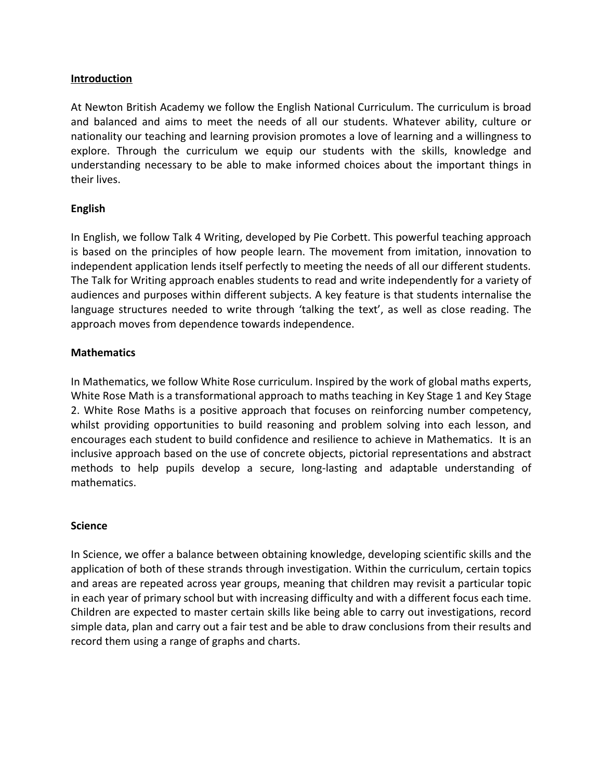# **Introduction**

At Newton British Academy we follow the English National Curriculum. The curriculum is broad and balanced and aims to meet the needs of all our students. Whatever ability, culture or nationality our teaching and learning provision promotes a love of learning and a willingness to explore. Through the curriculum we equip our students with the skills, knowledge and understanding necessary to be able to make informed choices about the important things in their lives.

# **English**

In English, we follow Talk 4 Writing, developed by Pie Corbett. This powerful teaching approach is based on the principles of how people learn. The movement from imitation, innovation to independent application lends itself perfectly to meeting the needs of all our different students. The Talk for Writing approach enables students to read and write independently for a variety of audiences and purposes within different subjects. A key feature is that students internalise the language structures needed to write through 'talking the text', as well as close reading. The approach moves from dependence towards independence.

## **Mathematics**

In Mathematics, we follow White Rose curriculum. Inspired by the work of global maths experts, White Rose Math is a transformational approach to maths teaching in Key Stage 1 and Key Stage 2. White Rose Maths is a positive approach that focuses on reinforcing number competency, whilst providing opportunities to build reasoning and problem solving into each lesson, and encourages each student to build confidence and resilience to achieve in Mathematics. It is an inclusive approach based on the use of concrete objects, pictorial representations and abstract methods to help pupils develop a secure, long-lasting and adaptable understanding of mathematics.

## **Science**

In Science, we offer a balance between obtaining knowledge, developing scientific skills and the application of both of these strands through investigation. Within the curriculum, certain topics and areas are repeated across year groups, meaning that children may revisit a particular topic in each year of primary school but with increasing difficulty and with a different focus each time. Children are expected to master certain skills like being able to carry out investigations, record simple data, plan and carry out a fair test and be able to draw conclusions from their results and record them using a range of graphs and charts.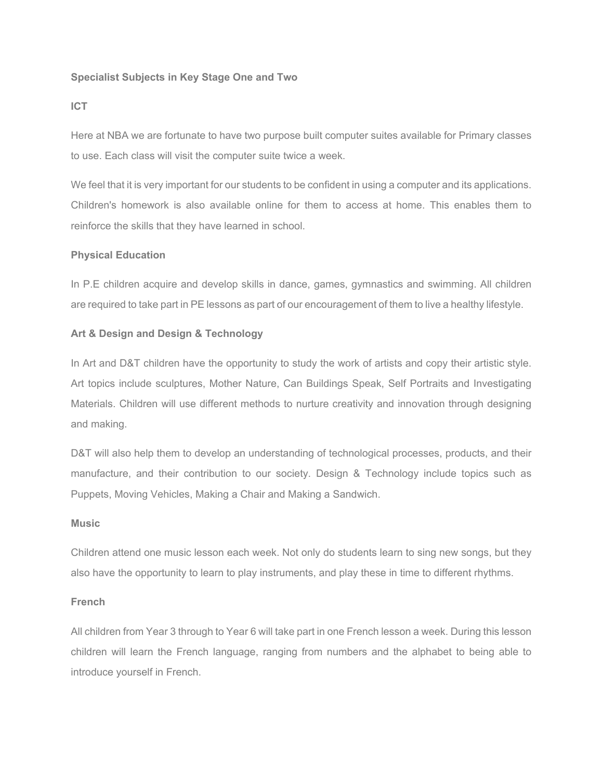### **Specialist Subjects in Key Stage One and Two**

#### **ICT**

Here at NBA we are fortunate to have two purpose built computer suites available for Primary classes to use. Each class will visit the computer suite twice a week.

We feel that it is very important for our students to be confident in using a computer and its applications. Children's homework is also available online for them to access at home. This enables them to reinforce the skills that they have learned in school.

#### **Physical Education**

In P.E children acquire and develop skills in dance, games, gymnastics and swimming. All children are required to take part in PE lessons as part of our encouragement of them to live a healthy lifestyle.

#### **Art & Design and Design & Technology**

In Art and D&T children have the opportunity to study the work of artists and copy their artistic style. Art topics include sculptures, Mother Nature, Can Buildings Speak, Self Portraits and Investigating Materials. Children will use different methods to nurture creativity and innovation through designing and making.

D&T will also help them to develop an understanding of technological processes, products, and their manufacture, and their contribution to our society. Design & Technology include topics such as Puppets, Moving Vehicles, Making a Chair and Making a Sandwich.

#### **Music**

Children attend one music lesson each week. Not only do students learn to sing new songs, but they also have the opportunity to learn to play instruments, and play these in time to different rhythms.

#### **French**

All children from Year 3 through to Year 6 will take part in one French lesson a week. During this lesson children will learn the French language, ranging from numbers and the alphabet to being able to introduce yourself in French.